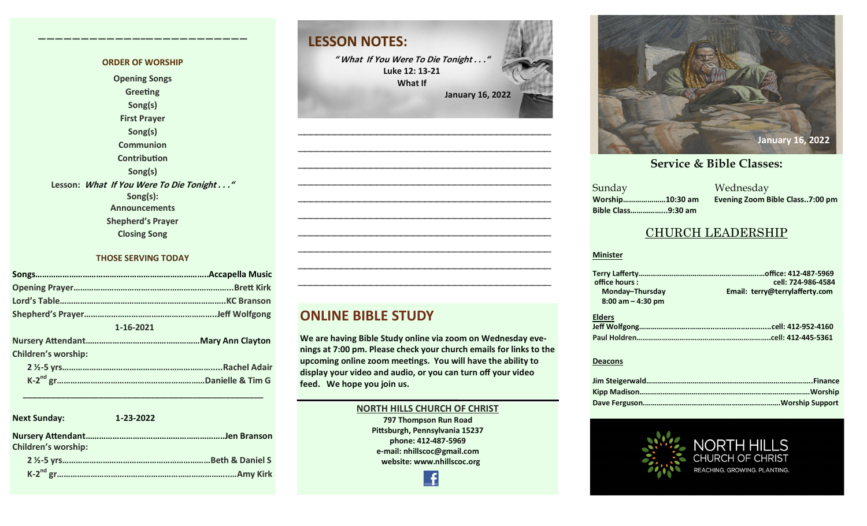#### **ORDER OF WORSHIP Opening Songs Greeting Song(s) First Prayer Song(s) Communion Contribution Song(s) Lesson: What If You Were To Die Tonight . . ." Song(s): Announcements Shepherd's Prayer Closing Song**

**————————————–————————————**

#### **THOSE SERVING TODAY**

| 1-16-2021                  |  |  |  |
|----------------------------|--|--|--|
|                            |  |  |  |
| <b>Children's worship:</b> |  |  |  |
|                            |  |  |  |
|                            |  |  |  |

| <b>Next Sunday:</b>        | 1-23-2022 |  |
|----------------------------|-----------|--|
| <b>Children's worship:</b> |           |  |
|                            |           |  |
|                            |           |  |

 **\_\_\_\_\_\_\_\_\_\_\_\_\_\_\_\_\_\_\_\_\_\_\_\_\_\_\_\_\_\_\_\_\_\_\_\_\_\_\_\_\_\_\_\_\_\_\_\_\_\_\_**

# **LESSON NOTES:**

**" What If You Were To Die Tonight . . ." Luke 12: 13-21 What If January 16, 2022**

**—————————————————————————————————————————— —————————————————————————————————————————— —————————————————————————————————————————— —————————————————————————————————————————— —————————————————————————————————————————— —————————————————————————————————————————— —————————————————————————————————————————— —————————————————————————————————————————— —————————————————————————————————————————— ——————————————————————————————————————————**

#### **ONLINE BIBLE STUDY**

**We are having Bible Study online via zoom on Wednesday evenings at 7:00 pm. Please check your church emails for links to the upcoming online zoom meetings. You will have the ability to display your video and audio, or you can turn off your video feed. We hope you join us.** 

#### **NORTH HILLS CHURCH OF CHRIST 797 Thompson Run Road Pittsburgh, Pennsylvania 15237 phone: 412-487-5969 e-mail: nhillscoc@gmail.com website: www.nhillscoc.org**



#### **December 10, 2017 December 24, 2017 January 7, 2017 February 21, 2021**

**March 18, 2018 January 28, 2018 February 4, 2018 January 21, 2018 Sunday Bible Class……………...9:30 am**

**September 24, 2017 October 8, 2017 October 15, 2017 October 8, 2017 October 22, 2017 October 29, 2017 November 5, 2017 November 12, 2017 November 26, 2017 December 17, 2017 December 29, 2019 February 9, 2020 January 26, 2020 February 23, 2020 March 1, 2020 April 5, 2020** Sunday Wednesday **Worship…………………10:30 am Evening Zoom Bible Class..7:00 pm**

### CHURCH LEADERSHIP

#### **Minister**

| office hours:         | cell: 724-986-4584             |
|-----------------------|--------------------------------|
| Monday-Thursday       | Email: terry@terrylafferty.com |
| $8:00$ am $-$ 4:30 pm |                                |
| <b>Elders</b>         |                                |
|                       |                                |
|                       |                                |

#### **Deacons**